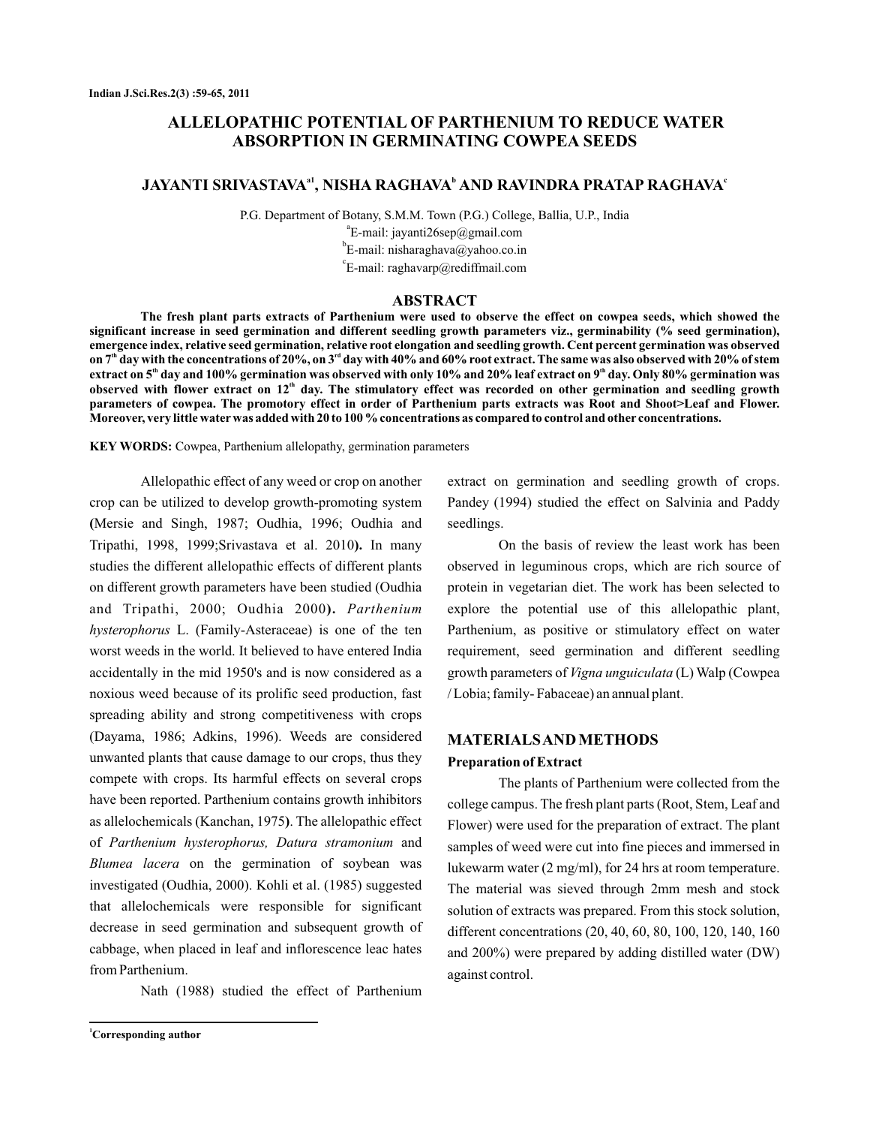# **ALLELOPATHIC POTENTIAL OF PARTHENIUM TO REDUCE WATER ABSORPTION IN GERMINATING COWPEA SEEDS**

# **JAYANTI SRIVASTAVA<sup>a1</sup>, NISHA RAGHAVA<sup>b</sup> AND RAVINDRA PRATAP RAGHAVA<sup>c</sup>**

P.G. Department of Botany, S.M.M. Town (P.G.) College, Ballia, U.P., India <sup>a</sup>E-mail: jayanti26sep@gmail.com <sup>b</sup>E-mail: nisharaghava@yahoo.co.in  $\mathrm{c}^{\mathrm{c}}$ E-mail: raghavarp@rediffmail.com

#### **ABSTRACT**

**The fresh plant parts extracts of Parthenium were used to observe the effect on cowpea seeds, which showed the significant increase in seed germination and different seedling growth parameters viz., germinability (% seed germination), emergence index, relative seed germination, relative root elongation and seedling growth. Cent percent germination was observed** on 7<sup>th</sup> day with the concentrations of 20%, on 3<sup>rd</sup> day with 40% and 60% root extract. The same was also observed with 20% of stem extract on 5<sup></sup> day and 100% germination was observed with only 10% and 20% leaf extract on 9<sup></sup> day. Only 80% germination was observed with flower extract on  $12^{\text{th}}$  day. The stimulatory effect was recorded on other germination and seedling growth **parameters of cowpea. The promotory effect in order of Parthenium parts extracts was Root and Shoot>Leaf and Flower. Moreover, very little water was added with 20 to 100 % concentrations as compared to control and other concentrations.**

KEY WORDS: Cowpea, Parthenium allelopathy, germination parameters

Allelopathic effect of any weed or crop on another crop can be utilized to develop growth-promoting system Mersie and Singh, 1987; Oudhia, 1996; Oudhia and **(** Tripathi, 1998, 1999; Srivastava et al. 2010). In many studies the different allelopathic effects of different plants on different growth parameters have been studied (Oudhia and Tripathi, 2000; Oudhia 2000 **).** *Parthenium* hysterophorus L. (Family-Asteraceae) is one of the ten worst weeds in the world. It believed to have entered India accidentally in the mid 1950's and is now considered as a noxious weed because of its prolific seed production, fast spreading ability and strong competitiveness with crops (Dayama, 1986; Adkins, 1996). Weeds are considered unwanted plants that cause damage to our crops, thus they compete with crops. Its harmful effects on several crops have been reported. Parthenium contains growth inhibitors as allelochemicals (Kanchan, 1975). The allelopathic effect of Parthenium hysterophorus, Datura stramonium and Blumea lacera on the germination of soybean was investigated (Oudhia, 2000). Kohli et al. (1985) suggested that allelochemicals were responsible for significant decrease in seed germination and subsequent growth of cabbage, when placed in leaf and inflorescence leac hates from Parthenium.

Nath (1988) studied the effect of Parthenium

**<sup>1</sup>Corresponding author**

extract on germination and seedling growth of crops. Pandey (1994) studied the effect on Salvinia and Paddy seedlings.

On the basis of review the least work has been observed in leguminous crops, which are rich source of protein in vegetarian diet. The work has been selected to explore the potential use of this allelopathic plant, Parthenium, as positive or stimulatory effect on water requirement, seed germination and different seedling growth parameters of *Vigna unguiculata* (L) Walp (Cowpea / Lobia; family- Fabaceae) an annual plant.

### **MATERIALSAND METHODS**

#### **Preparation of Extract**

The plants of Parthenium were collected from the college campus. The fresh plant parts (Root, Stem, Leaf and Flower) were used for the preparation of extract. The plant samples of weed were cut into fine pieces and immersed in lukewarm water (2 mg/ml), for 24 hrs at room temperature. The material was sieved through 2mm mesh and stock solution of extracts was prepared. From this stock solution, different concentrations (20, 40, 60, 80, 100, 120, 140, 160 and 200%) were prepared by adding distilled water (DW) against control.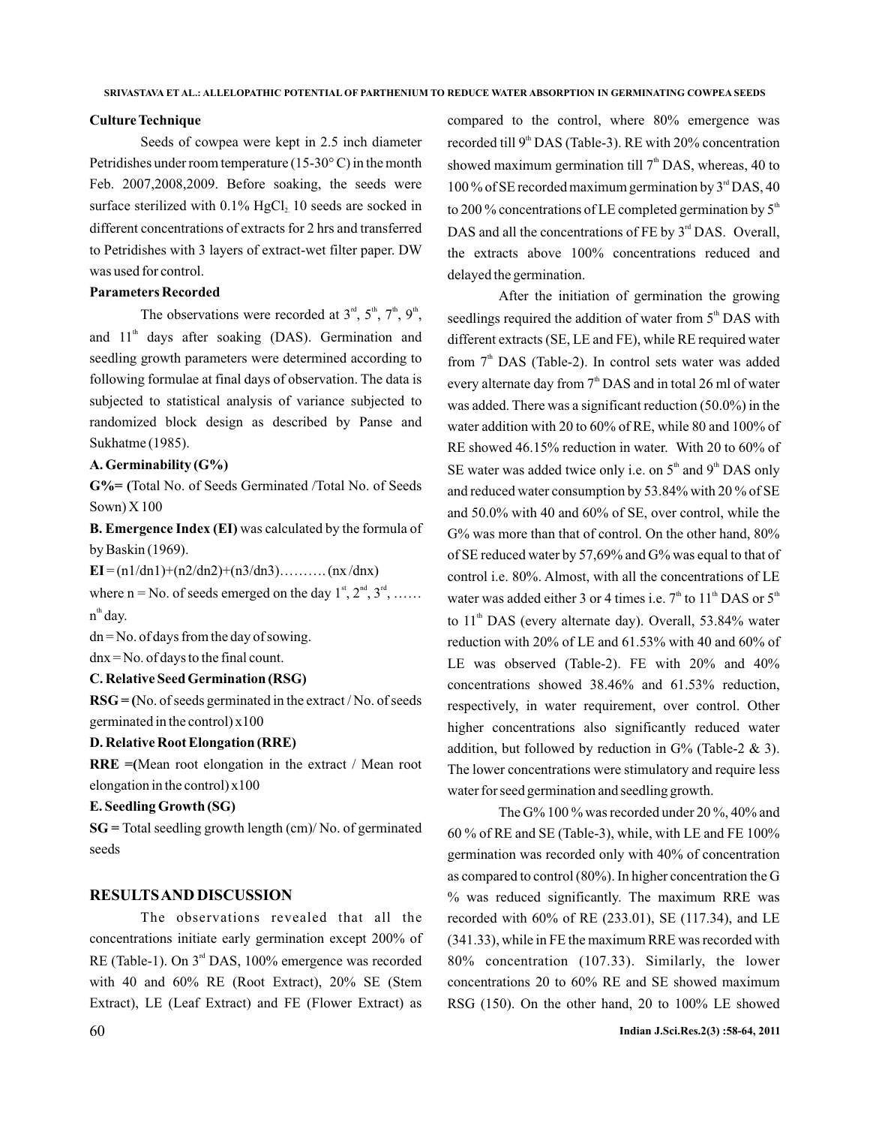#### **Culture Technique**

Seeds of cowpea were kept in 2.5 inch diameter Petridishes under room temperature (15-30 $\degree$ C) in the month Feb. 2007,2008,2009. Before soaking, the seeds were surface sterilized with  $0.1\%$  HgCl<sub>2</sub> 10 seeds are socked in different concentrations of extracts for 2 hrs and transferred to Petridishes with 3 layers of extract-wet filter paper. DW was used for control.

### **Parameters Recorded**

The observations were recorded at  $3<sup>rd</sup>$ ,  $5<sup>th</sup>$ ,  $7<sup>th</sup>$ ,  $9<sup>th</sup>$ , and  $11<sup>th</sup>$  days after soaking (DAS). Germination and seedling growth parameters were determined according to following formulae at final days of observation. The data is subjected to statistical analysis of variance subjected to randomized block design as described by Panse and Sukhatme (1985).

### **A. Germinability (G%)**

**G%= (** Total No. of Seeds Germinated /Total No. of Seeds Sown) X 100

**B. Emergence Index (EI)** was calculated by the formula of by Baskin (1969).

 $EI = (n1/dn1) + (n2/dn2) + (n3/dn3)$ ………. (nx/dnx) where  $n = No$ . of seeds emerged on the day  $1^{st}$ ,  $2^{nd}$ ,  $3^{rd}$ , ...... n<sup>th</sup> day.

 $dn = No$ . of days from the day of sowing.

dnx = No. of days to the final count.

## **C. Relative Seed Germination (RSG)**

**RSG = (** No. of seeds germinated in the extract / No. of seeds germinated in the control) x100

### **D. Relative Root Elongation (RRE)**

**RRE =(** Mean root elongation in the extract / Mean root elongation in the control) x100

### **E. Seedling Growth (SG)**

**SG =** Total seedling growth length (cm)/ No. of germinated seeds

### **RESULTSAND DISCUSSION**

The observations revealed that all the concentrations initiate early germination except 200% of RE (Table-1). On  $3<sup>rd</sup>$  DAS, 100% emergence was recorded with 40 and 60% RE (Root Extract), 20% SE (Stem Extract), LE (Leaf Extract) and FE (Flower Extract) as compared to the control, where 80% emergence was recorded till  $9<sup>th</sup> DAS$  (Table-3). RE with 20% concentration showed maximum germination till  $7<sup>th</sup>$  DAS, whereas, 40 to 100% of SE recorded maximum germination by  $3<sup>rd</sup> DAS$ , 40 to 200 % concentrations of LE completed germination by  $5<sup>th</sup>$ DAS and all the concentrations of FE by  $3<sup>rd</sup>$  DAS. Overall, the extracts above 100% concentrations reduced and delayed the germination.

After the initiation of germination the growing seedlings required the addition of water from  $5<sup>th</sup>$  DAS with different extracts (SE, LE and FE), while RE required water from  $7<sup>th</sup>$  DAS (Table-2). In control sets water was added every alternate day from  $7<sup>th</sup>$  DAS and in total 26 ml of water was added. There was a significant reduction (50.0%) in the water addition with 20 to 60% of RE, while 80 and 100% of RE showed 46.15% reduction in water. With 20 to 60% of SE water was added twice only i.e. on  $5<sup>th</sup>$  and  $9<sup>th</sup>$  DAS only and reduced water consumption by 53.84% with 20 % of SE and 50.0% with 40 and 60% of SE, over control, while the G% was more than that of control. On the other hand, 80% of SE reduced water by 57,69% and G% was equal to that of control i.e. 80%. Almost, with all the concentrations of LE water was added either 3 or 4 times i.e.  $7<sup>th</sup>$  to 11<sup>th</sup> DAS or  $5<sup>th</sup>$ to  $11<sup>th</sup>$  DAS (every alternate day). Overall, 53.84% water reduction with 20% of LE and 61.53% with 40 and 60% of LE was observed (Table-2). FE with 20% and 40% concentrations showed 38.46% and 61.53% reduction, respectively, in water requirement, over control. Other higher concentrations also significantly reduced water addition, but followed by reduction in  $G%$  (Table-2 & 3). The lower concentrations were stimulatory and require less water for seed germination and seedling growth.

The G% 100 % was recorded under 20 %, 40% and 60 % of RE and SE (Table-3), while, with LE and FE 100% germination was recorded only with 40% of concentration as compared to control (80%). In higher concentration the G % was reduced significantly. The maximum RRE was recorded with 60% of RE (233.01), SE (117.34), and LE (341.33), while in FE the maximum RRE was recorded with 80% concentration (107.33). Similarly, the lower concentrations 20 to 60% RE and SE showed maximum RSG (150). On the other hand, 20 to 100% LE showed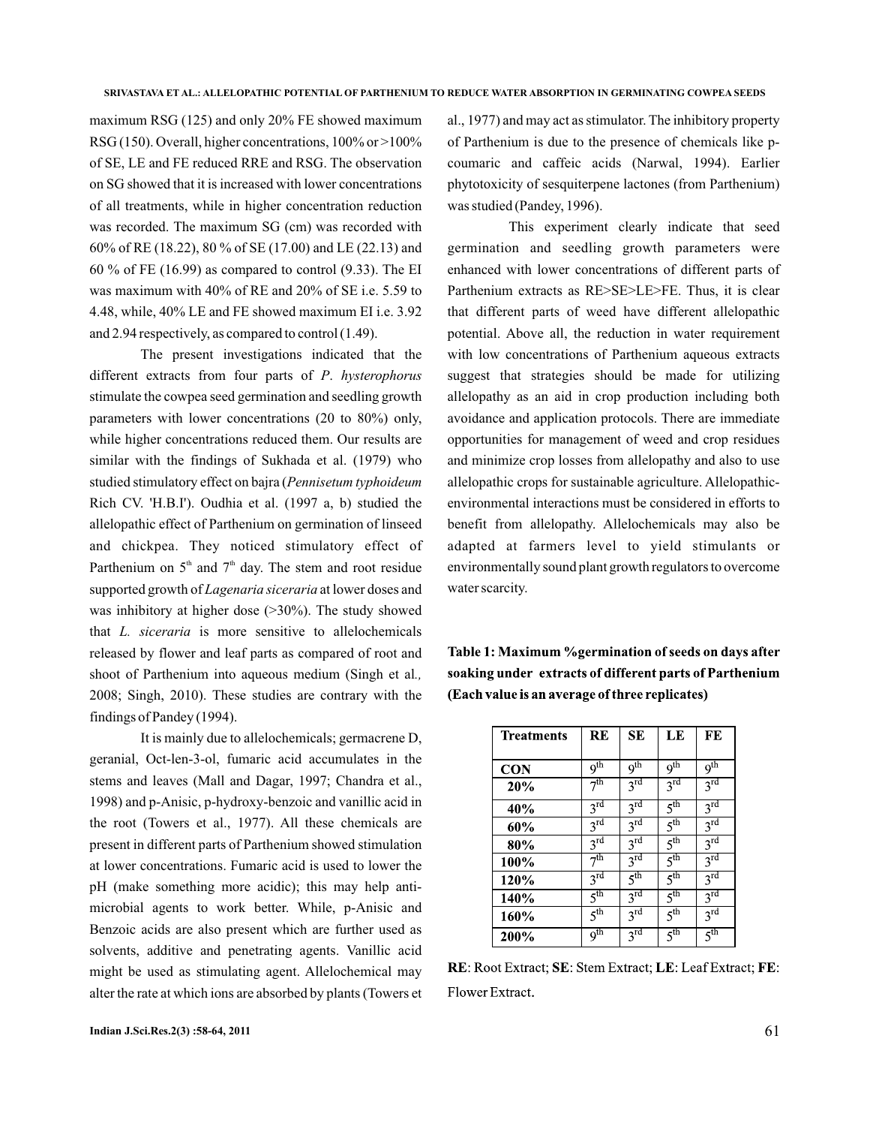maximum RSG (125) and only 20% FE showed maximum RSG (150). Overall, higher concentrations, 100% or >100% of SE, LE and FE reduced RRE and RSG. The observation on SG showed that it is increased with lower concentrations of all treatments, while in higher concentration reduction was recorded. The maximum SG (cm) was recorded with 60% of RE (18.22), 80 % of SE (17.00) and LE (22.13) and 60 % of FE (16.99) as compared to control (9.33). The EI was maximum with 40% of RE and 20% of SE i.e. 5.59 to 4.48, while, 40% LE and FE showed maximum EI i.e. 3.92 and 2.94 respectively, as compared to control (1.49).

The present investigations indicated that the different extracts from four parts of P. hysterophorus stimulate the cowpea seed germination and seedling growth parameters with lower concentrations (20 to 80%) only, while higher concentrations reduced them. Our results are similar with the findings of Sukhada et al. (1979) who studied stimulatory effect on bajra ( *Pennisetum typhoideum* Rich CV. 'H.B.I'). Oudhia et al. (1997 a, b) studied the allelopathic effect of Parthenium on germination of linseed and chickpea. They noticed stimulatory effect of Parthenium on  $5<sup>th</sup>$  and  $7<sup>th</sup>$  day. The stem and root residue supported growth of Lagenaria siceraria at lower doses and was inhibitory at higher dose (>30%). The study showed that *L. siceraria* is more sensitive to allelochemicals released by flower and leaf parts as compared of root and shoot of Parthenium into aqueous medium (Singh et al *.,* 2008; Singh, 2010). These studies are contrary with the findings of Pandey (1994).

It is mainly due to allelochemicals; germacrene D, geranial, Oct-len-3-ol, fumaric acid accumulates in the stems and leaves (Mall and Dagar, 1997; Chandra et al., 1998) and p-Anisic, p-hydroxy-benzoic and vanillic acid in the root (Towers et al., 1977). All these chemicals are present in different parts of Parthenium showed stimulation at lower concentrations. Fumaric acid is used to lower the pH (make something more acidic); this may help antimicrobial agents to work better. While, p-Anisic and Benzoic acids are also present which are further used as solvents, additive and penetrating agents. Vanillic acid might be used as stimulating agent. Allelochemical may alter the rate at which ions are absorbed by plants (Towers et al., 1977) and may act as stimulator. The inhibitory property of Parthenium is due to the presence of chemicals like pcoumaric and caffeic acids (Narwal, 1994). Earlier phytotoxicity of sesquiterpene lactones (from Parthenium) was studied (Pandey, 1996).

This experiment clearly indicate that seed germination and seedling growth parameters were enhanced with lower concentrations of different parts of Parthenium extracts as RE>SE>LE>FE. Thus, it is clear that different parts of weed have different allelopathic potential. Above all, the reduction in water requirement with low concentrations of Parthenium aqueous extracts suggest that strategies should be made for utilizing allelopathy as an aid in crop production including both avoidance and application protocols. There are immediate opportunities for management of weed and crop residues and minimize crop losses from allelopathy and also to use allelopathic crops for sustainable agriculture. Allelopathicenvironmental interactions must be considered in efforts to benefit from allelopathy. Allelochemicals may also be adapted at farmers level to yield stimulants or environmentally sound plant growth regulators to overcome water scarcity.

Table 1: Maximum %germination of seeds on days after soaking under extracts of different parts of Parthenium (Each value is an average of three replicates)

| <b>Treatments</b> | <b>RE</b>           | SE                         | LE                  | FE                         |
|-------------------|---------------------|----------------------------|---------------------|----------------------------|
| <b>CON</b>        | q <sup>th</sup>     | 9 <sup>th</sup>            | 9 <sup>th</sup>     | 9 <sup>th</sup>            |
| 20%               | 7 <sup>th</sup>     | $3^{rd}$                   | $3^{\overline{rd}}$ | $3^{\text{rd}}$            |
| 40%               | $3^{rd}$            | $3^{\overline{rd}}$        | 5 <sup>th</sup>     | $3^{rd}$                   |
| 60%               | 3 <sup>rd</sup>     | 3 <sup>rd</sup>            | 5 <sup>th</sup>     | $3^{\text{rd}}$            |
| 80%               | $3^{\text{rd}}$     | $3^{\rm rd}$               | 5 <sup>th</sup>     | $3^{\text{rd}}$            |
| 100%              | 7 <sup>th</sup>     | $3^{\overline{\text{rd}}}$ | 5 <sup>th</sup>     | $3^{\overline{\text{rd}}}$ |
| 120%              | $3^{\overline{rd}}$ | 5 <sup>th</sup>            | 5 <sup>th</sup>     | $3^{\rm rd}$               |
| 140%              | 5 <sup>th</sup>     | $3^{\overline{\text{rd}}}$ | 5 <sup>th</sup>     | $3^{\overline{rd}}$        |
| 160%              | 5 <sup>th</sup>     | $3^{\overline{\text{rd}}}$ | 5 <sup>th</sup>     | $3^{\rm rd}$               |
| 200%              | 9 <sup>th</sup>     | $3^{\overline{\text{rd}}}$ | 5 <sup>th</sup>     | 5 <sup>th</sup>            |

RE: Root Extract; SE: Stem Extract; LE: Leaf Extract; FE: Flower Extract.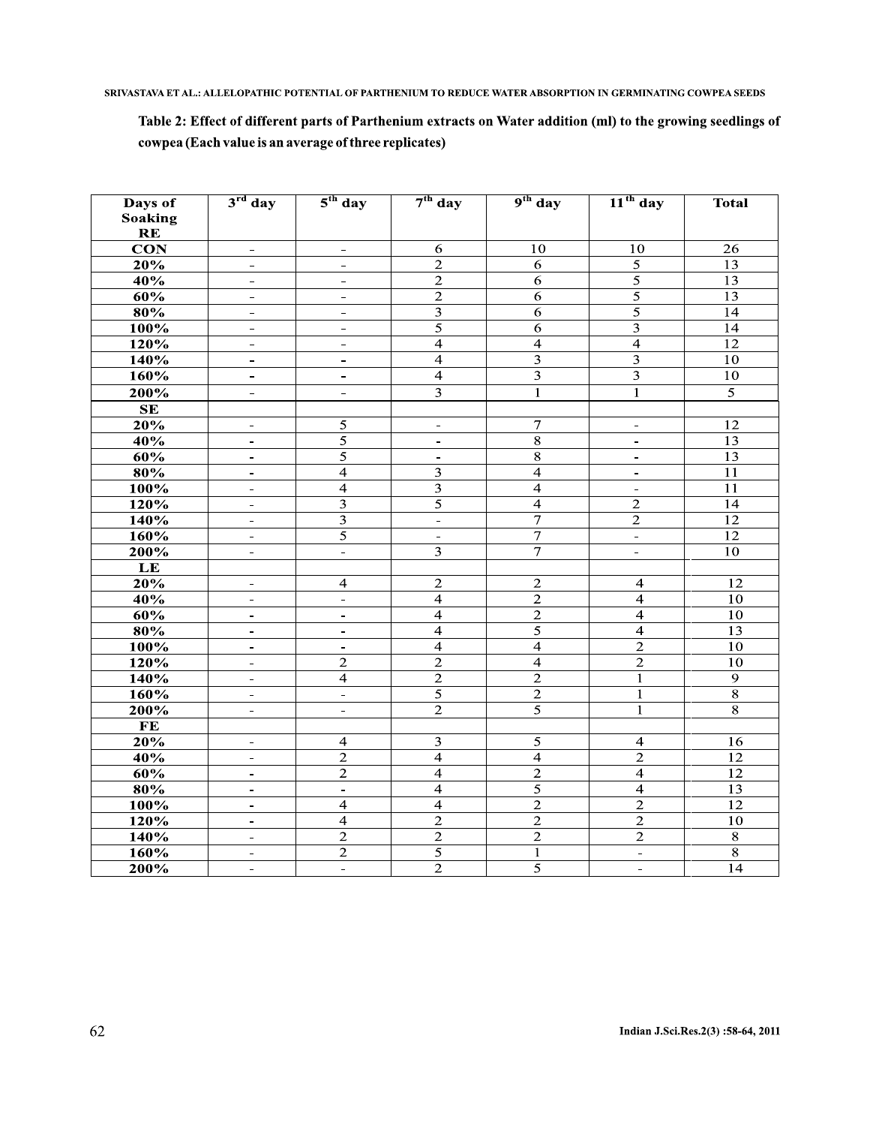SRIVASTAVA ET AL.: ALLELOPATHIC POTENTIAL OF PARTHENIUM TO REDUCE WATER ABSORPTION IN GERMINATING COWPEA SEEDS

# Table 2: Effect of different parts of Parthenium extracts on Water addition (ml) to the growing seedlings of cowpea (Each value is an average of three replicates)

| Days of                 | $3rd$ day                | $5th$ day                | $7th$ day               | $9th$ day               | $11th$ day              | <b>Total</b>    |
|-------------------------|--------------------------|--------------------------|-------------------------|-------------------------|-------------------------|-----------------|
| <b>Soaking</b>          |                          |                          |                         |                         |                         |                 |
| RE                      |                          |                          |                         |                         |                         |                 |
| $\overline{\text{CON}}$ | $\equiv$                 | $\equiv$                 | 6                       | 10                      | 10                      | 26              |
| 20%                     | $\frac{1}{2}$            | $\blacksquare$           | $\overline{2}$          | 6                       | $\overline{5}$          | 13              |
| 40%                     | $\frac{1}{2}$            | $\frac{1}{2}$            | $\overline{2}$          | 6                       | $\overline{5}$          | $\overline{13}$ |
| 60%                     | $\equiv$                 | $\equiv$                 | $\overline{2}$          | 6                       | $\overline{5}$          | 13              |
| $\bf 80\%$              | $\equiv$                 | $\equiv$                 | $\mathfrak{Z}$          | 6                       | $\overline{5}$          | 14              |
| 100%                    | ÷                        | $\blacksquare$           | $\overline{5}$          | $\overline{6}$          | $\overline{3}$          | $\overline{14}$ |
| 120%                    | $\blacksquare$           | $\frac{1}{2}$            | $\overline{4}$          | $\overline{4}$          | $\overline{4}$          | $\overline{12}$ |
| 140%                    | $\blacksquare$           | $\blacksquare$           | $\overline{4}$          | 3                       | 3                       | $10\,$          |
| 160%                    | $\blacksquare$           | $\blacksquare$           | $\overline{4}$          | $\overline{\mathbf{3}}$ | $\overline{\mathbf{3}}$ | $10\,$          |
| 200%                    | $\blacksquare$           | $\equiv$                 | $\overline{3}$          | $\mathbf{1}$            | $\mathbf{1}$            | $\overline{5}$  |
| SE                      |                          |                          |                         |                         |                         |                 |
| 20%                     | $\sim$                   | 5                        | $\blacksquare$          | $\overline{7}$          | $\blacksquare$          | $\overline{12}$ |
| 40%                     | $\blacksquare$           | $\overline{5}$           | ÷.                      | $\overline{8}$          | $\blacksquare$          | $\overline{13}$ |
| 60%                     | $\blacksquare$           | $\overline{5}$           | $\blacksquare$          | $\overline{8}$          | $\equiv$                | 13              |
| 80%                     | $\equiv$                 | $\overline{4}$           | $\overline{\mathbf{3}}$ | $\overline{4}$          | $\overline{a}$          | $\overline{11}$ |
| 100%                    | ÷                        | $\overline{4}$           | $\overline{3}$          | $\overline{4}$          | ÷                       | 11              |
| 120%                    | $\blacksquare$           | $\overline{\mathbf{3}}$  | $\overline{5}$          | $\overline{4}$          | $\overline{2}$          | 14              |
| 140%                    | $\blacksquare$           | $\overline{3}$           | $\overline{a}$          | $\overline{7}$          | $\overline{2}$          | $\overline{12}$ |
| 160%                    | $\blacksquare$           | $\overline{5}$           | $\equiv$                | $\overline{7}$          | $\equiv$                | $\overline{12}$ |
| 200%                    | ÷                        | $\equiv$                 | $\overline{\mathbf{3}}$ | $\overline{7}$          | $\blacksquare$          | 10              |
| LE                      |                          |                          |                         |                         |                         |                 |
| 20%                     | $\blacksquare$           | $\overline{4}$           | $\overline{2}$          | $\overline{2}$          | $\overline{4}$          | $\overline{12}$ |
| 40%                     | $\blacksquare$           | $\equiv$                 | $\overline{4}$          | $\overline{2}$          | $\overline{4}$          | $\overline{10}$ |
| 60%                     | $\equiv$                 | $\blacksquare$           | $\overline{4}$          | $\overline{2}$          | $\overline{4}$          | 10              |
| 80%                     | $\frac{1}{2}$            | $\equiv$                 | $\overline{4}$          | $\overline{5}$          | $\overline{4}$          | 13              |
| 100%                    | $\overline{\phantom{a}}$ | $\overline{\phantom{a}}$ | $\overline{4}$          | $\overline{4}$          | $\overline{2}$          | 10              |
| 120%                    | $\equiv$                 | $\overline{2}$           | $\overline{2}$          | $\overline{4}$          | $\overline{2}$          | 10              |
| 140%                    | $\equiv$                 | $\overline{4}$           | $\overline{2}$          | $\overline{2}$          | $\mathbf{1}$            | $\overline{9}$  |
| 160%                    | $\blacksquare$           | $\frac{1}{2}$            | 5                       | $\overline{2}$          | $\mathbf{1}$            | $\overline{8}$  |
| 200%                    | $\blacksquare$           | $\sim$                   | $\overline{2}$          | $\overline{5}$          | $\overline{1}$          | $\overline{8}$  |
| $\mathbf{FE}$           |                          |                          |                         |                         |                         |                 |
| 20%                     | $\overline{\phantom{a}}$ | $\overline{4}$           | $\overline{\mathbf{3}}$ | $\overline{5}$          | $\overline{4}$          | 16              |
| 40%                     | $\blacksquare$           | $\overline{2}$           | $\overline{4}$          | $\overline{4}$          | $\overline{2}$          | $\overline{12}$ |
| 60%                     | $\blacksquare$           | $\overline{2}$           | $\overline{\mathbf{4}}$ | $\overline{2}$          | $\overline{4}$          | $\overline{12}$ |
| 80%                     | $\equiv$                 | $\equiv$                 | $\overline{4}$          | $\overline{5}$          | $\overline{4}$          | 13              |
| 100%                    | $\equiv$                 | $\overline{4}$           | $\overline{4}$          | $\overline{2}$          | $\overline{2}$          | $\overline{12}$ |
| 120%                    | ÷.                       | $\overline{4}$           | $\overline{2}$          | $\overline{2}$          | $\overline{2}$          | 10              |
| 140%                    | $\blacksquare$           | $\overline{c}$           | $\sqrt{2}$              | $\overline{2}$          | $\mathbf 2$             | $\overline{8}$  |
| 160%                    | $\blacksquare$           | $\overline{2}$           | $\overline{5}$          | $\mathbf{1}$            | $\frac{1}{2}$           | $\overline{8}$  |
| 200%                    | $\overline{a}$           | L,                       | $\overline{2}$          | $\overline{5}$          | $\blacksquare$          | 14              |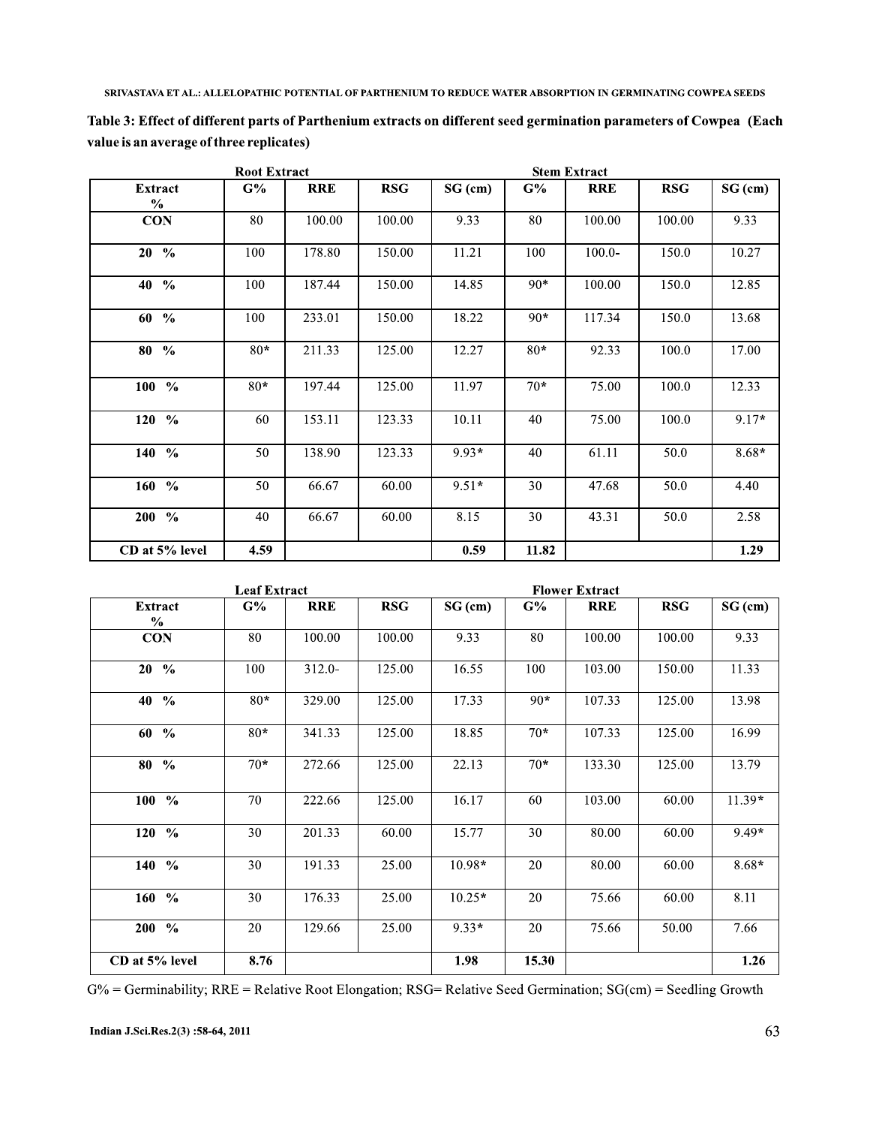| <b>Root Extract</b>    |       |            |            |           |       |            |            |           |
|------------------------|-------|------------|------------|-----------|-------|------------|------------|-----------|
| <b>Extract</b><br>$\%$ | G%    | <b>RRE</b> | <b>RSG</b> | $SG$ (cm) | G%    | <b>RRE</b> | <b>RSG</b> | $SG$ (cm) |
| <b>CON</b>             | 80    | 100.00     | 100.00     | 9.33      | 80    | 100.00     | 100.00     | 9.33      |
| $20 \frac{9}{6}$       | 100   | 178.80     | 150.00     | 11.21     | 100   | $100.0 -$  | 150.0      | 10.27     |
| $40\frac{9}{6}$        | 100   | 187.44     | 150.00     | 14.85     | $90*$ | 100.00     | 150.0      | 12.85     |
| $60\%$                 | 100   | 233.01     | 150.00     | 18.22     | $90*$ | 117.34     | 150.0      | 13.68     |
| $80\%$                 | $80*$ | 211.33     | 125.00     | 12.27     | $80*$ | 92.33      | 100.0      | 17.00     |
| $100 - %$              | $80*$ | 197.44     | 125.00     | 11.97     | $70*$ | 75.00      | 100.0      | 12.33     |
| $120\,%$               | 60    | 153.11     | 123.33     | 10.11     | 40    | 75.00      | 100.0      | $9.17*$   |
| 140 %                  | 50    | 138.90     | 123.33     | $9.93*$   | 40    | 61.11      | 50.0       | $8.68*$   |
| $160\,%$               | 50    | 66.67      | 60.00      | $9.51*$   | 30    | 47.68      | 50.0       | 4.40      |
| $200\,%$               | 40    | 66.67      | 60.00      | 8.15      | 30    | 43.31      | 50.0       | 2.58      |
| CD at 5% level         | 4.59  |            |            | 0.59      | 11.82 |            |            | 1.29      |

Table 3: Effect of different parts of Parthenium extracts on different seed germination parameters of Cowpea (Each value is an average of three replicates)

| <b>Leaf Extract</b>         |       |            |            | <b>Flower Extract</b> |       |            |            |           |
|-----------------------------|-------|------------|------------|-----------------------|-------|------------|------------|-----------|
| <b>Extract</b><br>$\%$      | G%    | <b>RRE</b> | <b>RSG</b> | $SG$ (cm)             | G%    | <b>RRE</b> | <b>RSG</b> | $SG$ (cm) |
| <b>CON</b>                  | 80    | 100.00     | 100.00     | 9.33                  | 80    | 100.00     | 100.00     | 9.33      |
| $20 \frac{9}{6}$            | 100   | $312.0 -$  | 125.00     | 16.55                 | 100   | 103.00     | 150.00     | 11.33     |
| $\frac{0}{0}$<br>40         | $80*$ | 329.00     | 125.00     | 17.33                 | $90*$ | 107.33     | 125.00     | 13.98     |
| $\frac{0}{0}$<br>60         | $80*$ | 341.33     | 125.00     | 18.85                 | $70*$ | 107.33     | 125.00     | 16.99     |
| 80<br>$\frac{0}{0}$         | $70*$ | 272.66     | 125.00     | 22.13                 | $70*$ | 133.30     | 125.00     | 13.79     |
| $100 - %$                   | 70    | 222.66     | 125.00     | 16.17                 | 60    | 103.00     | 60.00      | $11.39*$  |
| $\frac{0}{0}$<br>120        | 30    | 201.33     | 60.00      | 15.77                 | 30    | 80.00      | 60.00      | $9.49*$   |
| 140 %                       | 30    | 191.33     | 25.00      | $10.98*$              | 20    | 80.00      | 60.00      | $8.68*$   |
| 160<br>$\frac{0}{0}$        | 30    | 176.33     | 25.00      | $10.25*$              | 20    | 75.66      | 60.00      | 8.11      |
| <b>200</b><br>$\frac{6}{6}$ | 20    | 129.66     | 25.00      | $9.33*$               | 20    | 75.66      | 50.00      | 7.66      |
| CD at 5% level              | 8.76  |            |            | 1.98                  | 15.30 |            |            | 1.26      |

G% = Germinability; RRE = Relative Root Elongation; RSG= Relative Seed Germination; SG(cm) = Seedling Growth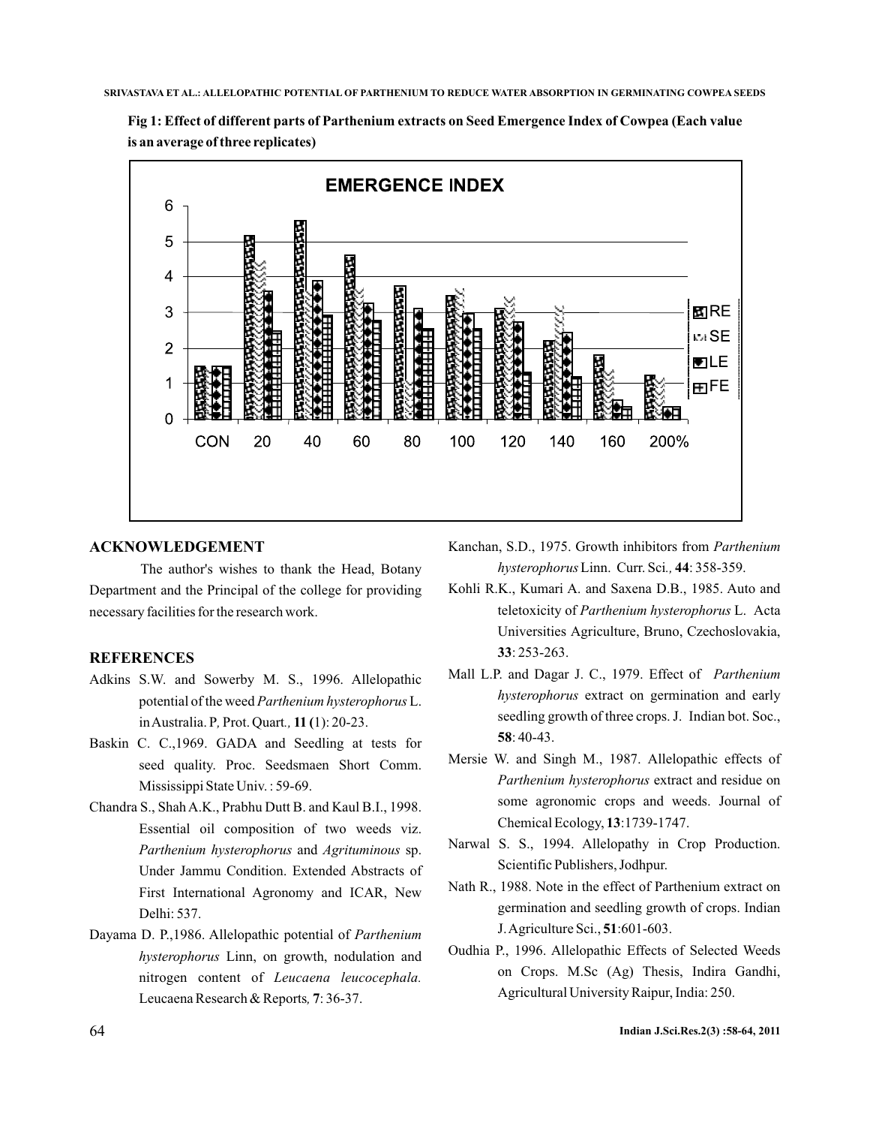



### **ACKNOWLEDGEMENT**

The author's wishes to thank the Head, Botany Department and the Principal of the college for providing necessary facilities for the research work.

## **REFERENCES**

- Adkins S.W. and Sowerby M. S., 1996. Allelopathic potential of the weed Parthenium hysterophorus L. in Australia. P, Prot. Quart., 11 (1): 20-23.
- Baskin C. C.,1969. GADA and Seedling at tests for seed quality. Proc. Seedsmaen Short Comm. Mississippi State Univ. : 59-69.
- Chandra S., Shah A.K., Prabhu Dutt B. and Kaul B.I., 1998. Essential oil composition of two weeds viz. Parthenium hysterophorus and Agrituminous sp. Under Jammu Condition. Extended Abstracts of First International Agronomy and ICAR, New Delhi: 537.
- Dayama D. P.,1986. Allelopathic potential of *Parthenium* hysterophorus Linn, on growth, nodulation and nitrogen content of *Leucaena leucocephala.* Leucaena Research & Reports, 7:36-37.
- Kanchan, S.D., 1975. Growth inhibitors from *Parthenium hysterophorus* Linn. Curr. Sci., 44: 358-359.
- Kohli R.K., Kumari A. and Saxena D.B., 1985. Auto and teletoxicity of Parthenium hysterophorus L. Acta Universities Agriculture, Bruno, Czechoslovakia, : 253-263. **33**
- Mall L.P. and Dagar J. C., 1979. Effect of *Parthenium* hysterophorus extract on germination and early seedling growth of three crops. J. Indian bot. Soc., : 40-43. **58**
- Mersie W. and Singh M., 1987. Allelopathic effects of Parthenium hysterophorus extract and residue on some agronomic crops and weeds. Journal of Chemical Ecology, 13:1739-1747.
- Narwal S. S., 1994. Allelopathy in Crop Production. Scientific Publishers, Jodhpur.
- Nath R., 1988. Note in the effect of Parthenium extract on germination and seedling growth of crops. Indian J. Agriculture Sci., 51:601-603.
- Oudhia P., 1996. Allelopathic Effects of Selected Weeds on Crops. M.Sc (Ag) Thesis, Indira Gandhi, Agricultural University Raipur, India: 250.